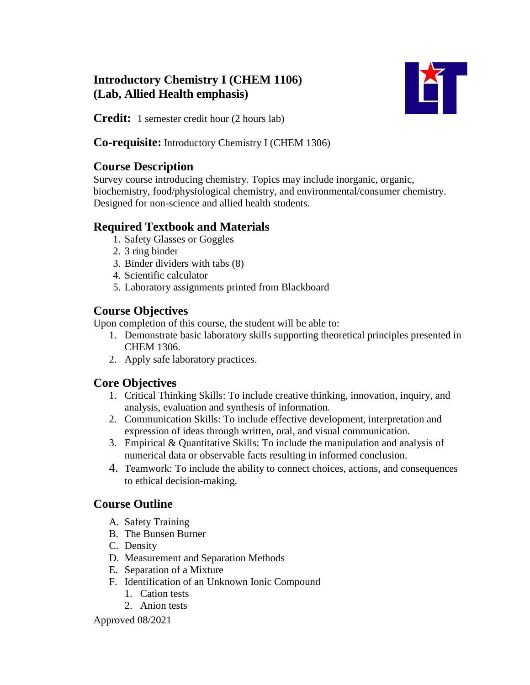## **Introductory Chemistry I (CHEM 1106) (Lab, Allied Health emphasis)**



**Credit:** 1 semester credit hour (2 hours lab)

**Co-requisite:** Introductory Chemistry I (CHEM 1306)

### **Course Description**

Survey course introducing chemistry. Topics may include inorganic, organic, biochemistry, food/physiological chemistry, and environmental/consumer chemistry. Designed for non-science and allied health students.

### **Required Textbook and Materials**

- 1. Safety Glasses or Goggles
- 2. 3 ring binder
- 3. Binder dividers with tabs (8)
- 4. Scientific calculator
- 5. Laboratory assignments printed from Blackboard

# **Course Objectives**

Upon completion of this course, the student will be able to:

- 1. Demonstrate basic laboratory skills supporting theoretical principles presented in CHEM 1306.
- 2. Apply safe laboratory practices.

# **Core Objectives**

- 1. Critical Thinking Skills: To include creative thinking, innovation, inquiry, and analysis, evaluation and synthesis of information.
- 2. Communication Skills: To include effective development, interpretation and expression of ideas through written, oral, and visual communication.
- 3. Empirical & Quantitative Skills: To include the manipulation and analysis of numerical data or observable facts resulting in informed conclusion.
- 4. Teamwork: To include the ability to connect choices, actions, and consequences to ethical decision-making.

# **Course Outline**

- A. Safety Training
- B. The Bunsen Burner
- C. Density
- D. Measurement and Separation Methods
- E. Separation of a Mixture
- F. Identification of an Unknown Ionic Compound
	- 1. Cation tests
	- 2. Anion tests

Approved 08/2021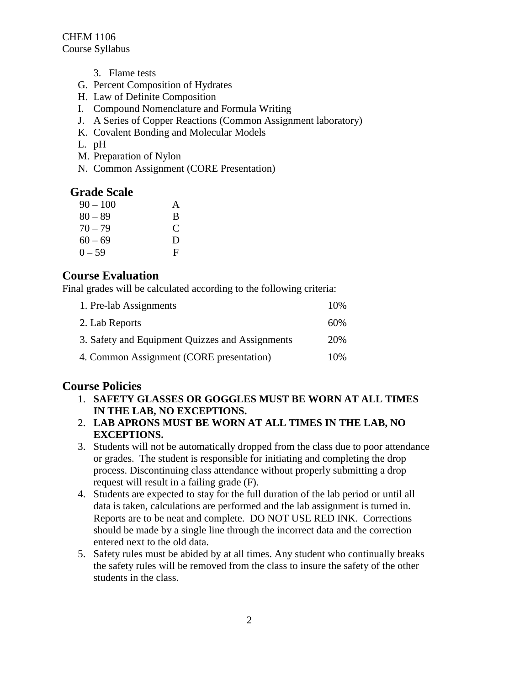CHEM 1106 Course Syllabus

- 3. Flame tests
- G. Percent Composition of Hydrates
- H. Law of Definite Composition
- I. Compound Nomenclature and Formula Writing
- J. A Series of Copper Reactions (Common Assignment laboratory)
- K. Covalent Bonding and Molecular Models
- L. pH
- M. Preparation of Nylon
- N. Common Assignment (CORE Presentation)

#### **Grade Scale**

| $90 - 100$ | A |
|------------|---|
| $80 - 89$  | B |
| $70 - 79$  | C |
| $60 - 69$  | D |
| $0 - 59$   | F |

#### **Course Evaluation**

Final grades will be calculated according to the following criteria:

| 1. Pre-lab Assignments                          | 10% |
|-------------------------------------------------|-----|
| 2. Lab Reports                                  | 60% |
| 3. Safety and Equipment Quizzes and Assignments | 20% |
| 4. Common Assignment (CORE presentation)        | 10% |

#### **Course Policies**

- 1. **SAFETY GLASSES OR GOGGLES MUST BE WORN AT ALL TIMES IN THE LAB, NO EXCEPTIONS.**
- 2. **LAB APRONS MUST BE WORN AT ALL TIMES IN THE LAB, NO EXCEPTIONS.**
- 3. Students will not be automatically dropped from the class due to poor attendance or grades. The student is responsible for initiating and completing the drop process. Discontinuing class attendance without properly submitting a drop request will result in a failing grade (F).
- 4. Students are expected to stay for the full duration of the lab period or until all data is taken, calculations are performed and the lab assignment is turned in. Reports are to be neat and complete. DO NOT USE RED INK. Corrections should be made by a single line through the incorrect data and the correction entered next to the old data.
- 5. Safety rules must be abided by at all times. Any student who continually breaks the safety rules will be removed from the class to insure the safety of the other students in the class.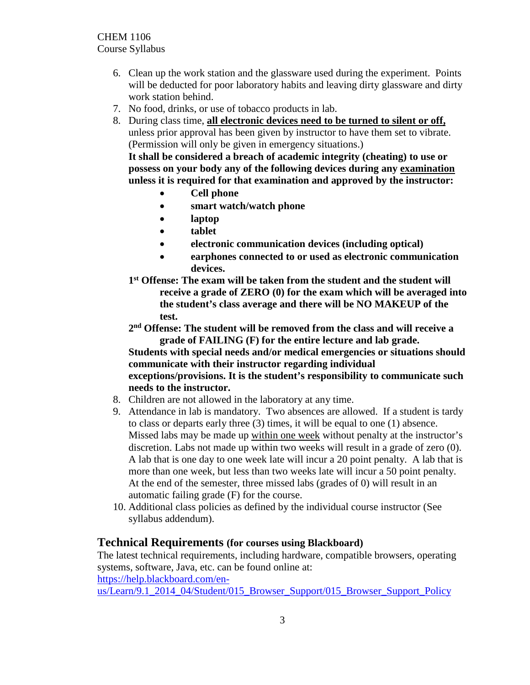- 6. Clean up the work station and the glassware used during the experiment. Points will be deducted for poor laboratory habits and leaving dirty glassware and dirty work station behind.
- 7. No food, drinks, or use of tobacco products in lab.
- 8. During class time, **all electronic devices need to be turned to silent or off,** unless prior approval has been given by instructor to have them set to vibrate. (Permission will only be given in emergency situations.)

**It shall be considered a breach of academic integrity (cheating) to use or possess on your body any of the following devices during any examination unless it is required for that examination and approved by the instructor:** 

- **Cell phone**
- **smart watch/watch phone**
- **laptop**
- **tablet**
- **electronic communication devices (including optical)**
- **earphones connected to or used as electronic communication devices.**
- **1st Offense: The exam will be taken from the student and the student will receive a grade of ZERO (0) for the exam which will be averaged into the student's class average and there will be NO MAKEUP of the test.**
- **2nd Offense: The student will be removed from the class and will receive a grade of FAILING (F) for the entire lecture and lab grade.**

#### **Students with special needs and/or medical emergencies or situations should communicate with their instructor regarding individual exceptions/provisions. It is the student's responsibility to communicate such**

#### **needs to the instructor.**

- 8. Children are not allowed in the laboratory at any time.
- 9. Attendance in lab is mandatory. Two absences are allowed. If a student is tardy to class or departs early three (3) times, it will be equal to one (1) absence. Missed labs may be made up within one week without penalty at the instructor's discretion. Labs not made up within two weeks will result in a grade of zero (0). A lab that is one day to one week late will incur a 20 point penalty. A lab that is more than one week, but less than two weeks late will incur a 50 point penalty. At the end of the semester, three missed labs (grades of 0) will result in an automatic failing grade (F) for the course.
- 10. Additional class policies as defined by the individual course instructor (See syllabus addendum).

#### **Technical Requirements (for courses using Blackboard)**

The latest technical requirements, including hardware, compatible browsers, operating systems, software, Java, etc. can be found online at: [https://help.blackboard.com/en-](https://help.blackboard.com/en-us/Learn/9.1_2014_04/Student/015_Browser_Support/015_Browser_Support_Policy)

us/Learn/9.1\_2014\_04/Student/015\_Browser\_Support/015\_Browser\_Support\_Policy